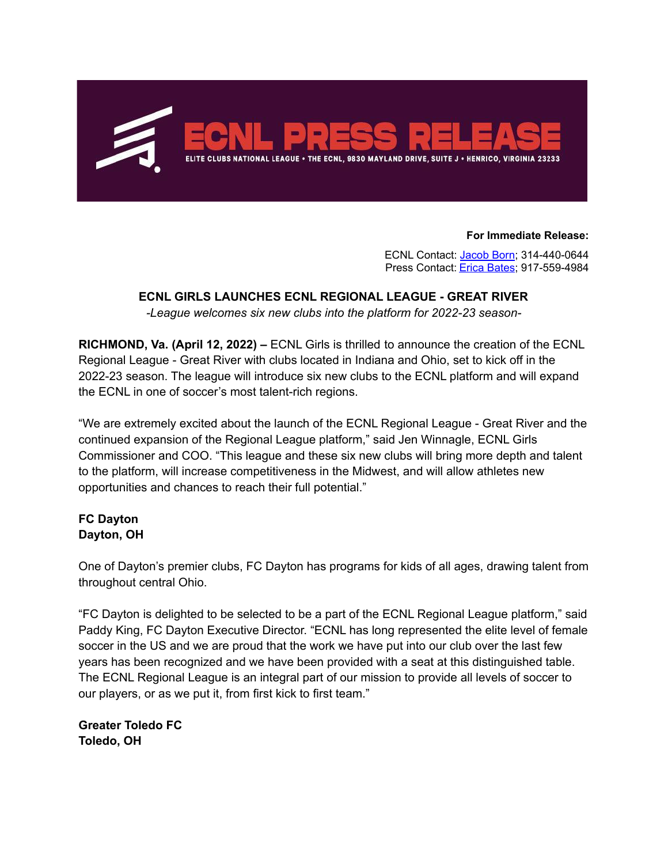

**For Immediate Release:**

ECNL Contact: [Jacob](mailto:jacob@theecnl.com) Born; 314-440-0644 Press Contact: Erica [Bates](mailto: ebates@mkcstrategies.com); 917-559-4984

### **ECNL GIRLS LAUNCHES ECNL REGIONAL LEAGUE - GREAT RIVER**

*-League welcomes six new clubs into the platform for 2022-23 season-*

**RICHMOND, Va. (April 12, 2022) –** ECNL Girls is thrilled to announce the creation of the ECNL Regional League - Great River with clubs located in Indiana and Ohio, set to kick off in the 2022-23 season. The league will introduce six new clubs to the ECNL platform and will expand the ECNL in one of soccer's most talent-rich regions.

"We are extremely excited about the launch of the ECNL Regional League - Great River and the continued expansion of the Regional League platform," said Jen Winnagle, ECNL Girls Commissioner and COO. "This league and these six new clubs will bring more depth and talent to the platform, will increase competitiveness in the Midwest, and will allow athletes new opportunities and chances to reach their full potential."

## **FC Dayton Dayton, OH**

One of Dayton's premier clubs, FC Dayton has programs for kids of all ages, drawing talent from throughout central Ohio.

"FC Dayton is delighted to be selected to be a part of the ECNL Regional League platform," said Paddy King, FC Dayton Executive Director. "ECNL has long represented the elite level of female soccer in the US and we are proud that the work we have put into our club over the last few years has been recognized and we have been provided with a seat at this distinguished table. The ECNL Regional League is an integral part of our mission to provide all levels of soccer to our players, or as we put it, from first kick to first team."

**Greater Toledo FC Toledo, OH**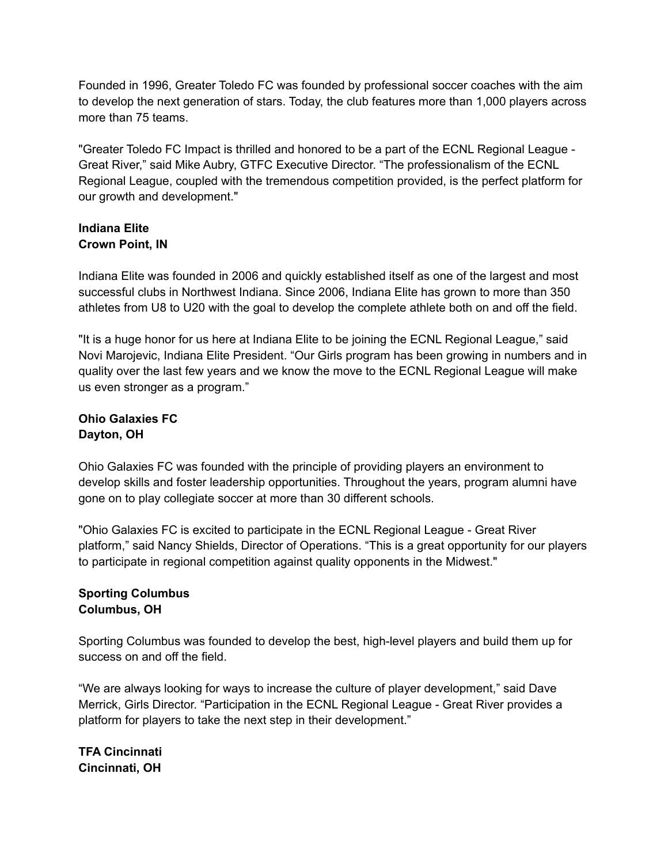Founded in 1996, Greater Toledo FC was founded by professional soccer coaches with the aim to develop the next generation of stars. Today, the club features more than 1,000 players across more than 75 teams.

"Greater Toledo FC Impact is thrilled and honored to be a part of the ECNL Regional League - Great River," said Mike Aubry, GTFC Executive Director. "The professionalism of the ECNL Regional League, coupled with the tremendous competition provided, is the perfect platform for our growth and development."

## **Indiana Elite Crown Point, IN**

Indiana Elite was founded in 2006 and quickly established itself as one of the largest and most successful clubs in Northwest Indiana. Since 2006, Indiana Elite has grown to more than 350 athletes from U8 to U20 with the goal to develop the complete athlete both on and off the field.

"It is a huge honor for us here at Indiana Elite to be joining the ECNL Regional League," said Novi Marojevic, Indiana Elite President. "Our Girls program has been growing in numbers and in quality over the last few years and we know the move to the ECNL Regional League will make us even stronger as a program."

# **Ohio Galaxies FC Dayton, OH**

Ohio Galaxies FC was founded with the principle of providing players an environment to develop skills and foster leadership opportunities. Throughout the years, program alumni have gone on to play collegiate soccer at more than 30 different schools.

"Ohio Galaxies FC is excited to participate in the ECNL Regional League - Great River platform," said Nancy Shields, Director of Operations. "This is a great opportunity for our players to participate in regional competition against quality opponents in the Midwest."

# **Sporting Columbus Columbus, OH**

Sporting Columbus was founded to develop the best, high-level players and build them up for success on and off the field.

"We are always looking for ways to increase the culture of player development," said Dave Merrick, Girls Director. "Participation in the ECNL Regional League - Great River provides a platform for players to take the next step in their development."

**TFA Cincinnati Cincinnati, OH**